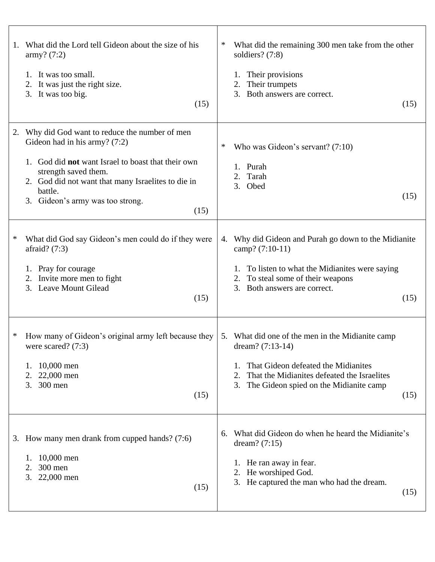| 1. | What did the Lord tell Gideon about the size of his<br>army? (7:2)<br>It was too small.<br>1.<br>It was just the right size.<br>2.<br>3. It was too big.<br>(15)                                                                                                           | ∗<br>What did the remaining 300 men take from the other<br>soldiers? (7:8)<br>Their provisions<br>Their trumpets<br>2.<br>Both answers are correct.<br>3.<br>(15)                                                    |
|----|----------------------------------------------------------------------------------------------------------------------------------------------------------------------------------------------------------------------------------------------------------------------------|----------------------------------------------------------------------------------------------------------------------------------------------------------------------------------------------------------------------|
| 2. | Why did God want to reduce the number of men<br>Gideon had in his army? $(7:2)$<br>God did not want Israel to boast that their own<br>strength saved them.<br>2. God did not want that many Israelites to die in<br>battle.<br>Gideon's army was too strong.<br>3.<br>(15) | Who was Gideon's servant? $(7:10)$<br>∗<br>1. Purah<br>Tarah<br>2.<br>3. Obed<br>(15)                                                                                                                                |
| *  | What did God say Gideon's men could do if they were<br>afraid? $(7:3)$<br>1. Pray for courage<br>Invite more men to fight<br>2.<br><b>Leave Mount Gilead</b><br>3.<br>(15)                                                                                                 | Why did Gideon and Purah go down to the Midianite<br>4.<br>camp? (7:10-11)<br>To listen to what the Midianites were saying<br>To steal some of their weapons<br>3. Both answers are correct.<br>(15)                 |
| ∗  | How many of Gideon's original army left because they<br>were scared? $(7:3)$<br>10,000 men<br>1.<br>22,000 men<br>2.<br>3.<br>300 men<br>(15)                                                                                                                              | 5. What did one of the men in the Midianite camp<br>dream? $(7:13-14)$<br>That Gideon defeated the Midianites<br>That the Midianites defeated the Israelites<br>The Gideon spied on the Midianite camp<br>3.<br>(15) |
|    | 3. How many men drank from cupped hands? (7:6)<br>10,000 men<br>1.<br>300 men<br>2.<br>3.<br>22,000 men<br>(15)                                                                                                                                                            | What did Gideon do when he heard the Midianite's<br>6.<br>dream? $(7:15)$<br>He ran away in fear.<br>1.<br>He worshiped God.<br>2.<br>3. He captured the man who had the dream.<br>(15)                              |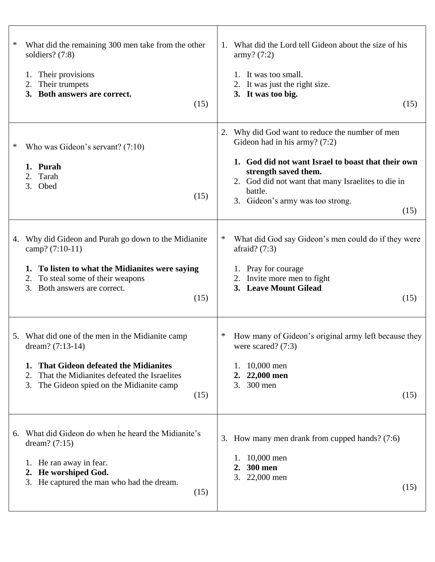| ∗  | What did the remaining 300 men take from the other<br>soldiers? (7:8)<br>Their provisions<br>1.<br>Their trumpets<br>2.<br>3. Both answers are correct.<br>(15)                                                                       | What did the Lord tell Gideon about the size of his<br>1.<br>army? (7:2)<br>It was too small.<br>It was just the right size.<br>3. It was too big.<br>(15)                                                                                                                       |
|----|---------------------------------------------------------------------------------------------------------------------------------------------------------------------------------------------------------------------------------------|----------------------------------------------------------------------------------------------------------------------------------------------------------------------------------------------------------------------------------------------------------------------------------|
| ∗  | Who was Gideon's servant? $(7:10)$<br>1. Purah<br>Tarah<br>2.<br>3.<br>Obed<br>(15)                                                                                                                                                   | Why did God want to reduce the number of men<br>2.<br>Gideon had in his army? $(7:2)$<br>1. God did not want Israel to boast that their own<br>strength saved them.<br>2. God did not want that many Israelites to die in<br>battle.<br>3. Gideon's army was too strong.<br>(15) |
| 4. | Why did Gideon and Purah go down to the Midianite<br>camp? (7:10-11)<br>To listen to what the Midianites were saying<br>1.<br>To steal some of their weapons<br>2.<br>3.<br>Both answers are correct.<br>(15)                         | What did God say Gideon's men could do if they were<br>∗<br>afraid? $(7:3)$<br>1. Pray for courage<br>2. Invite more men to fight<br>3. Leave Mount Gilead<br>(15)                                                                                                               |
|    | 5. What did one of the men in the Midianite camp<br>dream? (7:13-14)<br><b>That Gideon defeated the Midianites</b><br>1.<br>That the Midianites defeated the Israelites<br>2.<br>3.<br>The Gideon spied on the Midianite camp<br>(15) | How many of Gideon's original army left because they<br>$\ast$<br>were scared? (7:3)<br>10,000 men<br>22,000 men<br>2.<br>300 men<br>3.<br>(15)                                                                                                                                  |
| 6. | What did Gideon do when he heard the Midianite's<br>dream? $(7:15)$<br>He ran away in fear.<br>1.<br>2. He worshiped God.<br>3. He captured the man who had the dream.<br>(15)                                                        | 3. How many men drank from cupped hands? (7:6)<br>10,000 men<br>1.<br><b>300 men</b><br>22,000 men<br>3.<br>(15)                                                                                                                                                                 |

 $\Gamma$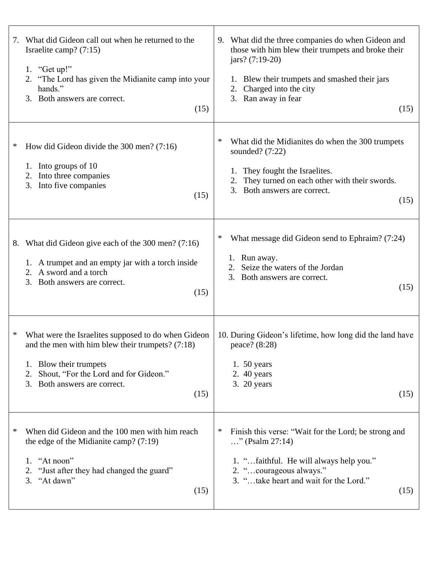| 7. | What did Gideon call out when he returned to the<br>Israelite camp? $(7:15)$<br>1. "Get up!"<br>2. "The Lord has given the Midianite camp into your<br>hands."<br>3. Both answers are correct.<br>(15)                        | 9. What did the three companies do when Gideon and<br>those with him blew their trumpets and broke their<br>$jars? (7:19-20)$<br>Blew their trumpets and smashed their jars<br>Charged into the city<br>2.<br>3. Ran away in fear<br>(15) |
|----|-------------------------------------------------------------------------------------------------------------------------------------------------------------------------------------------------------------------------------|-------------------------------------------------------------------------------------------------------------------------------------------------------------------------------------------------------------------------------------------|
| ∗  | How did Gideon divide the $300$ men? (7:16)<br>1. Into groups of 10<br>Into three companies<br>2.<br>Into five companies<br>3.<br>(15)                                                                                        | ∗<br>What did the Midianites do when the 300 trumpets<br>sounded? $(7:22)$<br>They fought the Israelites.<br>1.<br>They turned on each other with their swords.<br>Both answers are correct.<br>3.<br>(15)                                |
| 8. | What did Gideon give each of the 300 men? (7:16)<br>1. A trumpet and an empty jar with a torch inside<br>2. A sword and a torch<br>3.<br>Both answers are correct.<br>(15)                                                    | ∗<br>What message did Gideon send to Ephraim? (7:24)<br>Run away.<br>1.<br>Seize the waters of the Jordan<br>2.<br>Both answers are correct.<br>3.<br>(15)                                                                                |
| ∗  | What were the Israelites supposed to do when Gideon<br>and the men with him blew their trumpets? $(7:18)$<br>Blow their trumpets<br>1.<br>Shout, "For the Lord and for Gideon."<br>2.<br>3. Both answers are correct.<br>(15) | 10. During Gideon's lifetime, how long did the land have<br>peace? (8:28)<br>1. $50$ years<br>2. 40 years<br>3. 20 years<br>(15)                                                                                                          |
| ∗  | When did Gideon and the 100 men with him reach<br>the edge of the Midianite camp? $(7:19)$<br>1. "At noon"<br>2. "Just after they had changed the guard"<br>3. "At dawn"<br>(15)                                              | ∗<br>Finish this verse: "Wait for the Lord; be strong and<br>" (Psalm $27:14$ )<br>1. "faithful. He will always help you."<br>2. "courageous always."<br>3. "take heart and wait for the Lord."<br>(15)                                   |